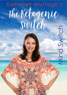# Deborah Murtagh's The Ketogenic Swilch  $\frac{1}{\sqrt{2}}$ Mind Switch

Swit

ind<br>S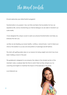The Mind switch

Hi and welcome your Mind Switch program!

Transformation is my passion! How we think and feel is the foundation for how we experience life, and by transforming our internal dialogue we are able to transform our outer reality.

I have designed this unique course to assist your physical transformation and help you embody the new you.

Just like we are feeding your body healthy, nutritious, natural foods, I want to feed your mind so the barriers to success and old patterns of sabotage are left behind.

This starts with getting really clear on our reasons for losing weight and what may have been holding us back in the past.

This guidebook is designed to accompany the videos in the mindset section of the member's area, so please take the time to watch them as they will give you my coaching and insights to maximise the impact of the exercises in this guide.

Love Deborah xxx

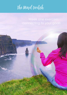# The Mind switch

**3**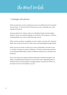The Mind switch

It all begins with self love

When we are born we have nothing but pure unconditional love for ourselves and our body. In this pure state of innocence we are vulnerable too, a prerequisite of real love.

This pure self-love isn't about vanity or an idealized image of body perfect, rather it is about an authentic feeling of connection with oursleves, a self love wholeheartedly and want to take thorough care of.

When we love ourselves completely we don't poison our body with chemical laden toxic foods, and we don't think vicious and sabotaging thoughts either.

When we love our body we feel much more comfortable in the skin we are in, and this increases our body confidence. This then creates improvements in our intimate relationships as body confidence extends to our sexuality and femininity.

That is why there are a series of self-love exercises scattered throughout this guide. Completing these simple acts may be the most challenging parts of transformation for some people, but please persist. The self-love is there, we just have to dust it of and polish it up a bit.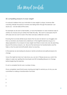The Mind switch

# 50 compelling reasons to lose weight

It is natural to believe that your motivation to lose weight is unique, however after coaching literally thousands of women and taking them through this exercise I can assure you - we are really all the same.

For example we all want to feel healthy, or have the freedom to wear whatever style of clothes we choose (not just clothes that hide the rolls). We want to wear jeans that fit with ease and we want to look in the mirror and see a reflection we love.

Knowing that we share siimilar issues means that we are not alone in our struggles and that our emotions are shared and understood. In this insightful exercise we go on a deep exploration of our reasons to lose weight and there is never only one. By searching beyond the obvious reasons, we discover the real reason for transformation and this helps us stay focused and enthusiastic about our journey..

In this exercise we are looking for physical, mental, emotional and spiritual reasons for change.

I know this might be hard, but I also know you can do it. Please esnure you watch the videos in week one: Igniting the Inner Spark and 50 Compelling Reasons to Change before beginning the exercise.

It is ok to complete the list over a number of days.

Once completed, read this list every morning and night to remind you of why you are committed to making a transformation that lasts!

- 1
- 
- $\mathfrak{D}$
- 3
- 
- 4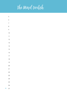# The Mind switch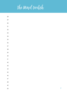# The Mind switch

| $28\,$          |  |  |                |
|-----------------|--|--|----------------|
| 29              |  |  |                |
| 30 <sub>o</sub> |  |  |                |
| 31              |  |  |                |
| 32              |  |  |                |
| 33              |  |  |                |
| 34              |  |  |                |
| 35              |  |  |                |
| 36              |  |  |                |
| 37              |  |  |                |
| 38              |  |  |                |
| 39              |  |  |                |
| 40              |  |  |                |
| 41              |  |  |                |
| $42\,$          |  |  |                |
| $43\,$          |  |  |                |
| 44              |  |  |                |
| 45              |  |  |                |
| 46              |  |  |                |
| 47              |  |  |                |
| 48              |  |  |                |
| 49              |  |  |                |
| 50              |  |  | $\overline{7}$ |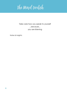The Mind switch

# Take care how you speak to yourself ...because... you are listening

Notes & insights: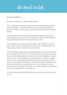The Mind switch

# An act of self love

De-clutter your bedroom & create a night time ritual.

Part 1) Our bedroom should be a place of peace and tranquility (and hopefully some other things!). It should be free of kids and work and anything else that reminds us of what is still to be done. AND it should be free of television and smart phones!

So many people have trouble sleeping surrounded by baskets of laundry that need ironing, or a pile of accounts to be processed or a laptop with hundreds of unanswered emails. Is that an environment that says 'rest'?

As you de-clutter your bedroom, only have things in sight that give you pleasure; some candles, a plant, a speaker to play calming music, aromatherapy oils, and make your room of rest an oasis of love and restoration.

Part 2) Developing a night-time ritual that supports sleep is more essential than ever given our stressful modern day lives. An hour before bed, I recommend a calming tea, dried chamomile flowers are my favourite, and lower the lighting in whichever room you are in. We need darkness to convert seratonin to melatonin, our sleep chemical. If we are stimulated with television, lights and smart phones, it delays this process and therefore takes longer to achieve quality sleep. Reading for a few minutes, or journaling your thoughts for the day is a far more productive way of spending the last few minutes of each day. This is at first a discipline, but over time it becomes an enjoyable habit, so just persevere.

To help start this exercise, write a de-cluterring 'to do list' here and tick them off as you go: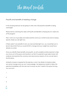The Mind switch

# Payoffs and benefits of resisting change

In this amazing exercise we are going to write a list of 20 payoffs & benefits to being overweight.

Please start by watching the video: 20 Payoffs and Benefits to Staying Stuck in week one of the program.

Then I want you to go deep and really examine what your comfort zones are for staying exactly where you are right now.

If there weren't any benefits to how you look and feel right now, you would feel such a level of discomfort that you would HAVE to change and your weight loss would have already occurred.

Once you identify these benefits and payoffs, we will complete another exercise to help you move out of this space and transform, but first it is essential to get really honest with oursleves and examine the conscious and subconscious reasons of why we are here in the first place.

Authentic honesty is required for this exercise, so don't be afraid of whatever arises; we cannot change what we can't acknowledge. But please be mindful to follow this exercise immediately with the next one to ensure we don't dwell in this space for long.. You can do it!

- 1  $\mathfrak{D}$ 3
- 4
- **10**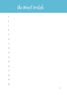

| $\sqrt{5}$      |  |  |  |
|-----------------|--|--|--|
| $\epsilon$      |  |  |  |
| $\overline{7}$  |  |  |  |
| 8               |  |  |  |
| 9               |  |  |  |
| 10              |  |  |  |
| $\overline{11}$ |  |  |  |
| 12              |  |  |  |
| 13              |  |  |  |
| 4               |  |  |  |
| 15              |  |  |  |
| 16              |  |  |  |
| $17\,$          |  |  |  |
| 18              |  |  |  |
| 19              |  |  |  |
| $20\,$          |  |  |  |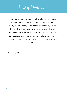The Mind switch

"The most beautiful people we have known are those who have known defeat, known suffering, known struggle, known loss, and have found their way out of the depths. These persons have an appreciation, a sensitivity and an understanding of life that fills them with compassions, gentleness, and a deep loving concern. Beautiful people do not just happen." - Elizabeth Kubler-

Ross

Notes & insights: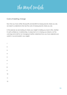The Mind switch

# Costs of resisting change

Now that you have written 20 payoffs and benefits for staying exactly where you are, we need to understand what are the costs of staying exactly where you are.

In this exercise we are looking at where your weight is holding you back in life, whether it is self-confidence, in relationships, in enjoyment or in chasing your dreams. List the costs big and small for not changing to better understand how you have adjusted your world to 'accommodate' your weight.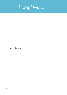

| 13 |  |  |  |
|----|--|--|--|
| 14 |  |  |  |
| 15 |  |  |  |
| 16 |  |  |  |
| 17 |  |  |  |
| 18 |  |  |  |
| 19 |  |  |  |
| 20 |  |  |  |

Notes & insights: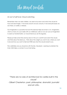The Mind switch

# An act of self love: Cloud watching

Remember when we were children, we used to lay down and watch the clouds for hours and see images. If we loved unicorns we saw unicorns, if we loved princesses we saw tiaras, or castles, or dresses.

Our imagination is a powerful tool and this exercise helps reconnect us to imagination, which so many of us put aside with our childhood. Later on we can use our imagination to assist our transformation. so I recommend you do this regularly.

Please just take some time and lay down in the sun's warmth and watch the clouds and think about the ideal you. Think about the weight you want to be, where you want to be and how you want to feel and THEN see what the clouds reveal to you.

This is definitely one you should do with the kids. Be playful. Learning to entertain the inner child helps us connect to our inner being.

"There are no rules of architecture for castles built in the clouds"

- Gilbert Chesterton, poet, philosopher, dramatist, journalist and art critic.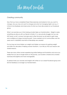The Mind switch

# Creating community

Now that you have completed these three exercises and looked at why you want to change, why you may not want to change and what not changing might cost you, it is time to live fearlessly and share some of what you have discovered on our Facebook group.

What I can promise you is that sharing actually helps our transformation. Weight is rarely something we discuss with our friends or family, it's a very private struggle, but you are NOT alone, so let's connect and give each other the boost we all need to gain hope and confidence to keep moving forward! I have created a lot of communities over the years and it's AMAZING what kind of friendships are created!

For too long we have hidden our weight and hidden our reasons for gaining weight and after two decades of helping women transform, I can tell you that your reasons are shared reasons.

There are many other women experiencing similar feelings and frustrations and once you realise that you are no longer alone on this journey, your burden is shared and a shared load becomes lighter and more manageable.

So please share your answers and insights with others on our closed Facebook group and lets live fearlessly as we begin our transformation.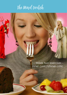# The Mind switch

Week two exercises inner coach/inner critic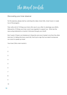The Mind switch

### Discovering your inner observer

For this exercise, please start by watching the video: Inner Critic, Inner Coach. in week two of the program.

Then write a list of 10 things your inner critic says to you often to sabotage your efforts, followed by 10 things your inner coach says regularly to support you. What are the reoccuring statements or mantra's that pass through your mind?.

Don't panic if there is an imbalance in these lists and one is harder to do than the other (and yes I'm talking the inner coach list), that is just a sign that we need to empower our coach to speak up more!

Your Inner Critics main mantra's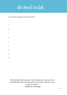The Mind switch

# Your Inner Coaches main mantra's

- 
- 

"Sometimes the voices in our head are not our own, sometimes they are the echo's of past criticisms we took to heart." - Deborah Murtagh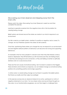The Mind switch

Discovering your inner observer and stepping away from the inner critic

Please watch the video: Discovering Your Inner Observer in week two and then complete this exercise.

Learning to separate ourselves from the negative inner critic is the foundation for creating lasting change.

Belief systems are formed around the stories we create in our mind in response to our environment.

Our life is ruled by our belief system, whether it is positive or negative, real or unreal. To change, we must therefore question the stories we tell ourselves.

Over time, questioning these stories can change the way we respond to our environment and old negative default patterns of behaviour can become new loving and supporting behaivours.

An example is that for many people it's natural to eat when they feel stressed, anxious, bored or depressed. They fill themselves up with food because they are feeling empty, or feel they are lacking love and connection, or they are feeling uncertain or spiritually drained, even on a subconscious level.

These are the root causes of emotional eating. But if we learn to observe what triggers these emotions and re-frame our response, we can indeed change our emotional eating patterns into something positive and lovingly supportive.

 In other words, to create lasting change we must learn to question the belief systems that frame our reality and then adjust accordingly!

In this exercise we become an observer instead of an active participant or victim of negative statements in our mind. For now simply notice and record these thoughts as they arise. As our transformation progresses, we can then begin to challenge them.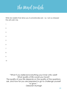The Mind switch

Write ten beliefs that drive you to emotionally eat. I.e. I am so stressed this will calm me.

| $\mathbf{I}$             |  |  |  |
|--------------------------|--|--|--|
| $\overline{c}$           |  |  |  |
| $\overline{3}$           |  |  |  |
| $\overline{\mathcal{A}}$ |  |  |  |
| $\overline{5}$           |  |  |  |
| $\ddot{\delta}$          |  |  |  |
| $\overline{7}$           |  |  |  |
| 8                        |  |  |  |
| 9                        |  |  |  |
| 10                       |  |  |  |

"What if you believed everything your inner critic said? What quality of life would you have? The quality of your life depends on the quality of the questions ask ,and how far you are prepared to go to challenge yourself to grow." - Deborah Murtagh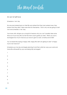The Mind switch

# An act of self love

Schedule a 'me' day

No one ever looked back on their life and wished that they had worked more, they lament that they didn't take more time for themselves. That is why we are going to start now and schedule a 'me' day.

Your inner critic will give you a long list of reasons why you can't possibly take some time out of your busy life, but let the inner coach guide you here. When you soul is recharged how much more do you have to give to work, to family and to life?

You've heard the saying a happy wife, happy life well I am gloing to add "a happy mum is far more fun!"

Schedule your me day and begin planning it and then write ten ways your work and home life will benefit by your soul being fully recharged!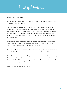The Mind switch

### Meet your inner coach

Please get comfortable and then follow the guided meditation process titled Meet Your Inner Coach in week two.

Just be aware that meeting your inner coach for the first time can be a little overwhelming because the love and inner peace we experience can feel like a big release of emotions. This just serves to help us realise that while we are usually our own worst critic and enemy, deep down true inner self love, kindness and compassion still resides within. We just lose our way sometimes and forget to listen to our inner coach.

If you feel you are lacking self worth, love, respect and confidence, this process will reconnect you to the part of yourself that voices your own innate wisdom. She always has the right words to say to lovingly support you.

While it's hard for some people to believe she exists, this guided mediation process shows that she has never left you and you can reconnect to her within minutes..

Through this process we are able to give her back a voice, so over time as we begin to converse with her, take her advice and love her back, we eventually embody her. And it is from this process we begin a re-birth of self love, and this creates a life we never dreamed possible before.

Journal your discoveries here: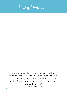# The Mind Switch

"I never left your side, you just forgot me. I've always loved you and I've been here to support you. Now that you are listening for my voice I can tell you; you are worthy of peace, you are worthy of greatness and you are worthy of love" Love, Your Inner Coach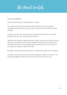The Mind switch

### An act of self love

Write down ten things you appreciate about yourself

This 'simple' exercise can be extremely difficult because while we are great at criticising ourselves (thanks to our inner critic), we may have real trouble accepting ourselves.

If need be, connect with your inner coach and ask her what makes you a unique individual and what 'she' loves about you the most!

Write down ten things you appreciate about yourself. Take your time, there is no hurry, maybe you will need to do this over the week and extend your list to 20, 30 or even 100 things! Think about all your qualities big and small, from the curve of your lip to your enormous capacity to give and to love.

Be patient and give these special aspects of yourself time to germinate and blossom.

Throughout the next few days, keep looking for things you might have missed. If you are really struggling, ask friends and loved ones what they love about you.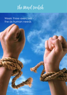The Mind switch

Week three exercises the six human needs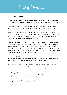The Mind switch

#### The six human needs

This is a task that has proven to be very beneficial for many of my clients. It can literally be life changing because it reveals exactly what motivates and limits us at a core level..

The phillosophy behind the test is that as humans, we each share the same six basic humans needs. I'm not talking about food and shelter, I mean emotional needs.

Every day these needs MUST be fulfilled in order for us to feel completely content.. When these needs are not being met in healthy, positive ways, we attempt to meet them in unhealthy ways. Overeatiing is just one example.. This of course is not a consicious thing; what drives us to meet these needs is subconscious.

As we begin to understand these and figure out how we have set up our life to meet these needs, we are able to see if we are meeting them in positive high quality ways, or in negative low quality ways. By understanding this we are then able to make adjustments to ensure our emotional needs are being meet in the higest possible way, which means for example we can replace negative eating patterns with new behaviours that fufills and meets our needs in the highest quality ways.

#### How to take the test

1) Simply answer the questions on the following four pages and then score yor results (more details on how to score the test on the 'Test Results' page).

This test will help deternine what your most important human needs are and what your least important human needs are. Once completed there are a number of exercises to ensure you meet each need in a positive, healthy way on a daily basis.

#### Completing the test

To complete the test, just answer every statement (84 in total).

- A "yes" means this statement really does sound like me"
- A "no" means this is not me at all or
- A "partly" means I am like this sometimes, but not always.

If you are unusre about any answer, it is best to tick "no"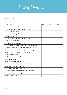The Mind switch

# Take the test

| Questions                                                  | Yes | <b>No</b> | Partly |
|------------------------------------------------------------|-----|-----------|--------|
| 1 People are impressed by me                               |     |           |        |
| 2 Feelling that 'I belong' is important to me              |     |           |        |
| 3 I need to feel grounded                                  |     |           |        |
| 4 I don't mind taking risks                                |     |           |        |
| 51 don't fear change                                       |     |           |        |
| 6 A failure is not a failure if you keep trying            |     |           |        |
| 7 I believe in giving back                                 |     |           |        |
| 8 I'm good at taking care of people                        |     |           |        |
| 9 I often worry about what people are saying about me      |     |           |        |
| 10 I like to have as much stability in my life as possible |     |           |        |
| 11 It's important to contribute to your community          |     |           |        |
| 12 I like to develop new ideas and projects                |     |           |        |
| 13 I'm security conscious                                  |     |           |        |
| 14 I like to be an example to others                       |     |           |        |
| 15 I'm competitive                                         |     |           |        |
| 16 I hate the feeling of boredom                           |     |           |        |
| 17 I know how to make connections with people              |     |           |        |
| 18 I constantly aspire to improve                          |     |           |        |
| 19 Danger is never exciting to me                          |     |           |        |
| 20 In most close relationships I'm usually the giver       |     |           |        |
| 21 There is always something new to be learned             |     |           |        |
| 22 I need to feel fulfilled                                |     |           |        |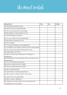The Mind switch

| Questions                                                  | Yes | <b>No</b> | Partly |
|------------------------------------------------------------|-----|-----------|--------|
| 23 I frequently evaluate myself                            |     |           |        |
| 24 I like for things to be predictable                     |     |           |        |
| 25 I am more loving than most people                       |     |           |        |
| 26 Recognition is very important to me                     |     |           |        |
| 27 I like the feeling of exertion                          |     |           |        |
| 28 I'm very careful of not overspending                    |     |           |        |
| 29 Education is important to me                            |     |           |        |
| 30 I am a leader                                           |     |           |        |
| 31 I'm always looking for new experiences                  |     |           |        |
| 32 I sometimes over extend myself in trying to help people |     |           |        |
| 33 My routines and habits are important to me              |     |           |        |
| 34 I take pride in who I am                                |     |           |        |
| 35 I like how learning something new changes my            |     |           |        |
| perspective                                                |     |           |        |
| 36 Sometimes the most important work is not what you're    |     |           |        |
| being paid for                                             |     |           |        |
| 37 I'm not an adventurous person                           |     |           |        |
| 38 No one would say that I'm selfish                       |     |           |        |
| 39 I tend to spend beyond my limits                        |     |           |        |
| 40 I like to feel important                                |     |           |        |
| 41 Every failure is a learning experience                  |     |           |        |
| 42 I like to learn in order to teach what I learn          |     |           |        |
| 43 I seek unity in my relationship                         |     |           |        |
| 44 I like to make a difference                             |     |           |        |
| 45 I refrain from acting when I'm not sure about the       |     |           |        |
| consequences of my actions                                 |     |           |        |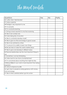The Mind switch

| Questions                                                    | Yes | <b>No</b> | Partly |
|--------------------------------------------------------------|-----|-----------|--------|
| 46 I suffer when I feel blocked                              |     |           |        |
| 47 I enjoy suspense                                          |     |           |        |
| 48 Prestige is very important to me                          |     |           |        |
| 49 I'm romantic                                              |     |           |        |
| 50 I'm constantly learning                                   |     |           |        |
| 51 Giving is imore mportant to me than recieving             |     |           |        |
| 52 I like to be number one                                   |     |           |        |
| 53 I hate taking risks of any kind                           |     |           |        |
| 54 I like to constantly develop myself                       |     |           |        |
| 55 I like to give my time and energy to good causes          |     |           |        |
| 56 I like to be admired by others                            |     |           |        |
| 57 I'm proud of my ability to learn new things               |     |           |        |
| 58 We are here to make this world a better place             |     |           |        |
| 59 I like to grow and develop in different areas             |     |           |        |
| 60 Personal relationships are the most important things to   |     |           |        |
| me                                                           |     |           |        |
| 61 Sometimes I can be intimidating                           |     |           |        |
| 62 I often look for new forms of entertainment               |     |           |        |
| 63 I'm concerned about anything that might be risky          |     |           |        |
| 64 Being fulfilled in your work is more important than being |     |           |        |
| important                                                    |     |           |        |
| 65 I strive to improve my skills                             |     |           |        |
| 66 I get close to people by being generous with money,       |     |           |        |
| time and energy                                              |     |           |        |
| 67 I like to think carefully before I go into action         |     |           |        |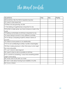The Mind switch

| Questions                                                                    | Yes | <b>No</b> | Partly |
|------------------------------------------------------------------------------|-----|-----------|--------|
| 68 Sometimes I like the thrill of experiencing fear                          |     |           |        |
| 69 I need to feel respected                                                  |     |           |        |
| 70 When we stop growing, we die                                              |     |           |        |
| 71 The feeling of togetherness is important to me                            |     |           |        |
| 72 For life to make sense, you have to leave a mark in the<br>world          |     |           |        |
| 73 Feeling comfortable at all times is important to me                       |     |           |        |
| 74 I enjoy being involved in many different activities                       |     |           |        |
| 75 I'm always comparing myself to others in terms of                         |     |           |        |
| success                                                                      |     |           |        |
| 76 I need to have passion in my relationship                                 |     |           |        |
| 77 If I'm not contributing to others, my life is meaningless                 |     |           |        |
| 78 When making decisions I often think about what might<br>be more enjoyable |     |           |        |
| 79 I can't stand to feel stagnant                                            |     |           |        |
| 80 I need to feel as safe as possible at all times                           |     |           |        |
| 81 If I commit to something, I worry that something better                   |     |           |        |
| might come along                                                             |     |           |        |
| 82 I never want to be seen as a loser                                        |     |           |        |
| 83 I don't care about having much stability in my life                       |     |           |        |
| 84 I have a mission                                                          |     |           |        |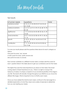The Mind switch

#### Test results

| 6 human needs       | questions                                     | total |
|---------------------|-----------------------------------------------|-------|
| certainty/comfort   | 3, 10, 13, 19, 24, 28, 33, 37, 45, 53, 63,    |       |
|                     | 67, 73, 80                                    |       |
| variety/uncertainty | 4, 5, 12, 16, 27, 31, 39, 47, 62, 68, 74, 78, |       |
|                     | 81,83                                         |       |
| significance        | 1, 9, 15, 23, 26, 34, 40, 48, 52, 56, 61, 69, |       |
|                     | 75,82                                         |       |
| love/connection     | 2, 8, 17, 20, 25, 32, 38, 43, 49, 51, 60, 66, |       |
|                     | 71,76                                         |       |
| growth              | 6, 18, 21, 29, 35, 41, 46, 50, 54, 57, 59,    |       |
|                     | 65, 70, 79                                    |       |
| contribution        | 7, 11, 14, 22, 30, 36, 42, 44, 55, 58, 64,    |       |
|                     | 72, 77, 84                                    |       |

To score your results please add the questions listed above for each category as follows:

One point for every 'yes' answer

A half a point for every 'partly answer and

Zero points for every no answer.

Each answer correlates to a different human need, so simply add the scores for each question listed in the table above to get your combined score for that need.

The higher the score the more importance you place on that need. The lowest scoring need is of least importance to you.. There is no right or wrong in the heirarchy of needs, it is simply a snapshot of your emotional priorities at this stage in your life. The results will naturally change throughout your lifetime as you move into different life stages. What is important is how to FULFILL each need.

Once you have added the total for each need, continue to the next page for a detailed explanation of what they mean and a series of exercises to determine how you are meeting your needs.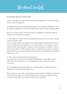The Mind switch

# Scoring the test and what next?

There is a description of each need on the following pages with a focus on these needs around food and weight loss.

Completeing the test is just the beginning however, now we have to determine 'what do I need to experience on a daily and weekly basis to feel my needs are being met?'

Now you know the results of this test, next time you experience a negative pattern of behaviour, ask the following questions:

1) 'What need am I trying to meet by expressing this behaviour and how may I fiill these needs in a positive way?'.

e.g. If you value certainty very highly and something happend today that took you out of your comfort zone, this could drive you to comfort eating. What else can you do to calm your body, mind and spirit by doing an activity that gives you certainty. What is it that you are certain of in life? Could you go for a walk because you know you always find comfort in how you feel afterwards? Could you call your best friend while drinking a special cup of tea?

2) 'What void am I trying to fill with this behaviour?'

e.g. If you value love and connection highly yet feel lonely or had a fight with your partner then this could drive you to eat emotionally to fill your need to love and connection.

3) 'Am I lacking love/connection right now, variety/excitment, significance, growth, contribution or certainty/comfort right now?'

Please watch the video series on the six human needs and then complete the exercises over the next few pages. This will help determine how yor needs are being met and if you need to seek other, more positive, healthy ways to fulfil them.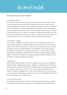The Mind switch

#### What are the six human needs?

#### 1. Certainty / Comfort

This is the most basic primal human need. We need to know that we have a roof over our heads and food on the table. We need to know that our basic survival needs are being met. A positive way of meeting our need for certainty and comfort is to have routines and conscious management of the food we eat. An unhealthy way of meeting the need for comfort is 'comfort eating'. Next time you find yourself comfort eating ask yourself 'where in my life am I feeling discomfort right now? How can I meet my need for certainty and comfort in a more positive way?' Take a few minutes to write down how you fulfill your need to Certainty and Comfort?

#### 2. Uncertainty / Variety

If we stayed in certainty and comfort all the time we would get very bored and we wouldn't be pushed to challenge ourselves to grow. We need uncertainty and variety in life to stimulate ourselves. A positive way of meeting our need for variety would be to do things that are different, take a different road to work, break up your patterns and routines, do something exciting, new, or challenging - starting this journey for example! An unhealthy way to meet uncertainty/variety is through eating - there is a lot of variety to be had in the world of junk food! Write down how you fulfill your need for Uncertainty/Variety?

#### 3. Significance

We all need to feel important, wanted and needed. A positive way of fulfilling this need is through doing things that make a difference in people's lives, or choosing careers that you consider worthwhile. An unhealthy way is by bullying and asserting your position, power or ego on others. You can also seek significance through eating. If someone challenges you on what you are eating, do you ever get angry and eat more just to spite them and feel you have power and significance? Record how you fulfill your need to Significance?

#### 4. Love and Connection

We all need to feel love and connection and we all need to give love. A positive way of experiencing love is through giving it unconditionally without restrictions or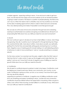The Mind switch

a hidden agenda - expecting nothing in return.. If we only love in order to get love back, we will never be truly happy and we set oursleves up for an emotional pattern of giving in order to recieve. This leads to a pattern of people-pleasing, the friend who can't say no. When this need is met in unhealthy ways we may sacrifice our own lives for the sake of needing approval from others in order to feel loved and connected. This is very disempowering and makes it impossible to ever feel good enough!

We can also try to fill a lack of love and connection through food and overeating.. Learning to authentically love ourselves and giving unconditional love will result in an empowering life! Write down how you fulfill your need for Love and Connection?

#### 5. Growth

We must continue to grow in all areas of our lives to feel fulfilled. In nature, when things stop growing, they die. A positive way to meet growth is through learning new things this could be kitchen skills, more about nutrition, more about yourself, your spirituality, getting fit for the first time and essentially setting goals and learning how to achieve them. Negative ways of meeting growth include holding on to self-defeating patterns of behaviour in order to have something to 'work on' (usually something to complain about!).

For the many women I've coached over the years, weight is often the ONLY area of their lives that isn't under control. To give up this struggle would make their lives 'too perfect' and we can't have that if we rely of negative ways of fulfilling our need for growth! Write down how you fulfill your need for Growth?

#### 6. Contribution

We all need to contribute beyond ourselves in order to be happy. Contribution could be helping your closest loved ones, friends, your community, your country, or your world. Contribution is giving our time, our love, or our money, if we have that to give. We may also fill this need by

supporting our partners to contribute. A negative way of fulfilling contribution would be to do something and expect something in return. Just like love and connection, contribution should be offered without the expectation of receiving. When we give to others, even without them knowing; we feel fulfilled in a multitude of ways. Write down how you fulfill your need for Contribution?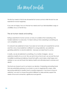The Mind switch

The first four needs in this list are all essential for human survival; while the last two are essential for human happiness.

If you are not happy, focus on the last two needs and if you feel disastisfied, angry or unfulfilled, focus on the first four.

#### The six human needs and eating

Eating is essential for human survival, so many of us believe that overeating is the hardest addiction to overcome. I'm here to tell you that overeating is something we can completely control.

It is natural to be addicted to food, if we were not we'd die as it is essential for survival. and this is why a food addiction is different to a drug addiction, sex addiction, gambling addiction or alcohol addiction - because we need food to survive

In reality, we are all addicted to something, it is a matter of degree - are our addictions healthy for us or not. We can eat to live or live to eat, we can eat the most incredible nourishing and delicious foods that uplift us and make us feel happy and satiated, or we can eat foods that destroy health and ultimately lead to sickness and death!

The food we choose to put in our body is our decision. Overeating and eating foods that are potentially poisoness to our body is a way to negatively fill a need, while becoming addicted to heatlhy food is a positive approach. If we have to have an addiction, we want to choose the postive fulfillment to help postively support the needs of love and connection, significance and growth.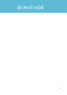# The Mind switch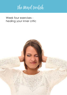The Mind switch

# Week four exercises healing your inner critic

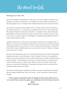The Mind switch

# Healing your inner critic

The more we begin to understand our inner critic, the more we begin to realise it was a mistake to see her as the inner bitch, or something we need to disown and destroy! In fact the opposite is true. We need to first understand the inner critic and then heal her.

The inner critic is formed in early childhood for a number of reasons, first and foremost she is there to protect us. As we grow up we begin to form our own view of reality and this creates a high level of security and comfort. We need to know certain things are predictiable in our life and that we can rely on these things. It creates a sense of calm in our world. As we grow older the world begins to challenge these beliefs and this can create a great deal of unease.

Congitive disonnance is a term used in psychology to describe why change is often so difficult. It is where our mind believes something to be true and even when we are given compelling evidence to the contrary, we can't accept that informationan. The security and comfort of our old belief/behanviour is so strong, that we aren't willing to change it, even if we know it's wrong.

The inner critic behaves the same way. She likes the security and comfort of being able to predict outcomes. She is the aspect of you that doesn't want you to change from where you are now because the way your life has been set up to date is what she knows and can predict. If for example you are used to coming home from a stressful day at work to a bottle of wine or a bag of chips, lollies or a bar of chocolate, then she will want you to continue that behaviour. She really is the addict within you and she'll do whatever it takes to get you to listen!

However if we really begin to question her motives, we see that really she is just living in fear of change to keep things 'safe' and 'known'. So let's examine our fears around change.

"One reason people resist change is because they focus on what they have to give up, instead of what they have to gain" -Rick Godwin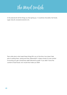The Mind switch

In this exercise list all the things you fear giving up. It could be chocolate, fast foods, sugar, biscuits, excessive alcohol, etc.

Then write down what need these things fill in you at the time, how does it feel prior to eating them, during and then afterwards? Is there a level of cruel comfort in knowing you get a temporary relief followed by guilt? If you didn't have the comfort of bad foods, how would that make you feel?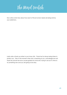The Mind switch

Now write a short story about how each of the six human needs are being met by your addictions.

Lastly write a thank you letter to your inner critic. Thank her for always being there to protect you. Then in the moment when she's screaming at you, acknoledge her and thank her and let her know youare grateful for what she's trying to do but it's time to try something new and you are going to be okay.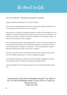The Mind switch

# An act of self love - learning to be kind to yourself

Forgive yourself for anything you do 'wrong' this week.

I am constantly reminding clients to be kind to themselves, forgive themselves, if for no other reason than the fact that no one is perfect.

We go about our daily lives comparing ourselves to others who seemingly have it 'all together', but after working with women from all walks of life for over 23 years, I can say without a shadow of doubt that NO ONE is perfect, or without faults or flaws. As humans we are always a work in progress.

Part of this beautiful journey called 'being human' is that we all make mistakes, how we deal with those mistakes is what makes the difference. This exercise focuses on the controllable part of mistakes - our reaction - not the impossible part, trying to eliminate mistakes from our life. That just won't happen!

This week I want you to focus on looking for opportunities to forgive yourself when you do ANYTHING wrong. Even if it's your own negative thoughts.

It could be burning the toast, yelling at the kids (or hubby), forgetting to pay that bill, or waking up late. It could even be eating something off plan!

Just acknowledge that you messed up and say 'I love, accept and forgive myself for.... '.

"Aerodynamically the bumblebee shouldn't be able to fly, but the bumblebee doesn't know that so it goes on flying anyway." - Mary Kay Ash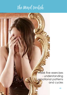# The Mind switch

Week five exercises - understanding emotional patterns and cycles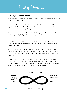The Mind switch

# Crazy eight emotional patterns

Please watch the videos: Emotional Patterns and The Crazy Eights and Addicted to our Emotions in week five of the program.

The crazy eight emotional pattern is a set of emotions that are connnected, but on opposite ends of the spectrum. On the one side are passive emotions, more focused internally, that trigger a feeling of disappointment in us.

On the other side are more active emotions that are generally focused externally and can be triggered by feeling fed up with feeling trapped in the more passive emotions on the other side of the spectrum..

To escape this repetitious cycle of feeling dissappointed then feeling fed up, we can either choose to grow and transform to escape, or spiral down into addiction and distraction to escape.

For this exercise I want you to begin by taking ten deep breaths to calm your mind and contemplate which emotional cycles you may be trapped in on this spectrum. Then consider your normal response to escaping the cycle. List these thoughts on the following page:

A good tip to beginning this exercise is to ask yourself 'what are the emotions you spend most of your time in?' Do you frequently feel sad, depressed, lonely, angry. fristrated or bored, or do you feel more joy and happiness, contentment and peace? Write down all of your patterns and how often you experience them.

Transformation (escape)



Addiction (escape)

.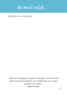The Mind switch

Crazy eight cycles and response:

"Without changing our pattern of thought, we will not be able to solve the problems we created with our current patterns of thought." Albert Einstein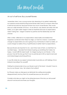The Mind switch

# An act of self love: Buy yourself flowers

I remember when I was a young woman day dreaming of my perfect relationship, my husband would randomly bring home flowers after work for no reason other than to tell me he loved me, because he knew how much I loved flowers. They would serve as a daily reminder of his love. As we all know, day dreams are rarely met with reality, so as I grew older I began to feel an emptiness because my expectations weren't being met. I began to blame my partner and the relationship and I felt unloved.

After a while, I reflected on my expectations verses reality and realised that happiness is achieved when these two align, so I had two choices. I could either change my expectations (no one is going to buy me flowers) to meet my reality, or I could change my reality (I'll buy myself flowers) to better meet my expectations.

Because flowers are important to me - each time I look at them, or smell them my soul feels happy - I decided that instead of giving up something that makes me happy, I would fulfill this need myself. So I began buying my own flowers. In the process I truly let the story go that it was my partners job to fill my need to be loved and instead began practicing self love.

In your life where do you expect someone else to provide you with feelings of love instead of providing it for yourself?

Waiting for someone else to buy you flowers is part of the faulty 'I shouldn't have to buy my own flowers' story. But where is that written?

So if flowers make you feel good, just eliminate the waiting (and possible disappointment) and buy them for yourself because you are worth it!

Consider what else you might not be doing because of the story you tell yourself around it and record and share your thoughts.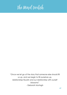# The Mind switch

"Once we let go of the story that someone else should fill us up, and we begin to fill ourselves up, relationships flourish and our relationship with ourself blossoms" - Deborah Murtagh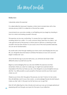The Mind switch

### Reflection

I absolutely adore this exercise!

It is called reflection because it requires a mirror (and a locked door with a few minutes privacy) AND it is a reflection of the last few weeks.

I recommend you use some candles, or soft lighting and you begin by standing in front of a mirror and looking yourself in the eye.

This exercise can be very confronting. I'm aware that you might have been avoiding mirrors for a while - it's a very common thing I hear from my clients - but I also get that part of this journey is a return back to self love, so learning to look yourself in the eye (the window to your soul) is one of the most powerful exercises we can do for transformation.

My soulful wish is that through meeting your inner coach and bringing her into your life, you will gently become ready to embrass the beauty of your own soul and begin to rediscover 'you'.

Once the first few kgs or pounds melt away, you will slowly be ready to feel differently about yourself and your life.

Begin by acknowledging that you are even DOING this exercise and then remember where you were two weeks ago. Its might have seemed almost impossible at the time, but here you are, a few kilograms or pounds lighter and you did this! You ARE powerful, so pat yourself on the back and let your inner coach cheer you on!

Observe your inner critic throughout this process, but don't hold on to her words. She will definitely want to say a few words., so acknowledge the job she did trying to make you feel 'safe' in the past, but let her know you've got this!

Start off with reflecting for a few minutes and work your way up to longer periods just expressing self love through your eyes into the eyes of your reflection.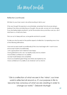The Mind switch

# Reflection (continued)

DO listen to your inner coach, she will be bursting to talk to you!

If the very thought this exercise is uncomfortable, remember that all we are doing is looking in the mirror and directing our thoughts. We are safe, we are not in any danger. If you are feeling highly emotional , just let the emotions rise up and flow over you, don't hold them in. or hold onto them.

This is an act of deep self love, so be gentle and kind to yourself.

To help you stay focused on the positive aspects of reflection, try repeating one or two of the following affirmations.

I love and accept myself unconditionally (if this is too hard begin with 'I want to love and accept myself unconditionally).

.I am a good person and I deserve to be happy

I have gratitude for who I am, my healthy body and my wisdom

I have limitless confidence in my abilities

I accept myself deeply and completely

I have accomplished great things and others are inspired by me

I have confidence in my ability to do whatever I set my mind to

"Life is a reflection of what we see in the 'mirror'; our inner world is reflected all around us. It's our purpose in life to become fully conscious of what we are creating in order to change our world."- Deborah Murtagh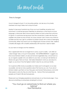The Mind switch

Time to forage!

I love to forage for food, it's my favourite pastime. Just ask any of my family members how long it takes me to shop for food!

Maybe it is because it reminds me of how our much healthier ancestors must have lived. It could be because it feels like an adventure, or that food is my love language, or because I like to know exactly where my food comes from and how it is grown. It could even be because I love the connections I make with the food suppliers who share my love of food. As a busy woman I don't have a lot of time to socialise and this way I get to combine my passion (food) with a sense of belonging (community). Either way food is such an integral part of every human's life, I believe a healthy life begins with a healthy relationship with food from 'seed to table'.

So your task is to forage over the weekend.

Now I appreciate that we no longer live in caves, so just to clarify - I am after an 'urban forage' here, or to put it more plainly - NO SUPERMARKETS!!!!! I suggest you find a local farmers market, an obscure fruit and vegetable shop, a local food coop, an organic supplier who can deliver to your door, or even just visit relatives or friends who grow their own food. Get really interested in what you are about to ingest, so you know it has the highest nutrient value for you and your family.

Try to spend as little money as possible, but make sure it is all organic or as close as possible, and ask as many questions about the food as you can. If you are at farmers market, quiz them on how they grow and harvest their produce, and what their passion is and why they do what they do. Some of the most passionate people you'll meet in life are food growers.

Please post your forraging experience and pictures on our face book page - if you discover something or somewhere amazing let us know!

"You must go on adventures to find out where you belong" - Sue Fitzmaurice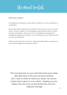The Mind switch

### Letter from a friend

In this exercise we are going to write a letter to ourselves as if it was coming from a 'loving friend'.

We are often great at giving love and support to those around us, but not so great when it comes to ourselves. So we are going to write ourselves a letter as though we were our best friend. Make sure it is from a completely loving perspective, detailing the qualities you love about 'you' and all the advice you'd give yourself if you were your best friend.

If there are any areas that you think you might need a little advice on, appraoch it with care and suggest some supportive solutions.

"We must become our own best friend because others ultimately treat us the way we treat ourselves. Don't look to others to meet your needs, we cannot control what's given to us by others. Meeting our own needs is the only way we guarantee they are met." - Deborah Murtagh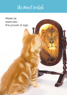The Mind switch

Week six exercises the power of ego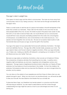The Mind switch

### The ego's role in weight loss

One aspect of mind is ego and the other is consciousness. The more we move away from consciousness, that is to say 'being conscious', the more we live through and identify with the egoic mind.

There is a small cluster of cells the size of a peanut that resides in the left hemisphere of the brain that contains our memories. These cells host the stories of who and what we are. Most people believe this is ALL we are, the stories housed in this peanut size cluster of cells. The truth is, if we were to remove these cells, we would still exist, but our consciousness would shift from worry and pain and feeling isolated from the world, into a knowingness of total peace, unconditional love, and connectedness to the world around you. As a species we have forgotten who we truly are. We are not our peanut sized cluster of cells that dictate fears and houses our ego; we are the spirit in the machine.

Your ego is the aspect of your personality that loves both extremes of emotions - the highs and most definitely the lows. The ego, like a little monster inside, possesses your mind. The ego needs to feed, and it loves to feed on negative emotions. When your ego embodies you, it takes over, making you identify with being fat, comapring you to models on TV and slim friends and any one 'better' than you.

Because our ego seeks out extremes of emotions, when we are out of balance it thrives. The universal law of balance dictates that everything has two sides. A positive and a negative, light and darkness, joy and sorry, happiness and unhappiness, ecstacy and depression. The ego needs a heightened emotional state to feel alive, so it feeds off these extremes, but true balance is found somewhere in the middle. It is from the middle of all extremes, that presence arises and you become the Observer, you are no longer driven by emotion, but by wisdom.

You can draw on the wisdom of your experiences and from those of others when you are present enough to see it. When you stay stuck in an emotional body, you will never be able to free your true self, the wise Observor and Master that you actually are.

To become free of ego, you therefore must remain present, or conscious and this starts with becming an observer. You also need to seek balance and this comes through understanding how ego might be used as a tool to your advantage and when it is not serving you.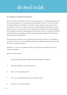The Mind switch

# An exercise in being the observor

Sit for a moment and observe what your mind is saying to you. Take a deep breath and focus your full attention on your breath slowly breathing in, and out. If your mind starts to wander, bring your awareness to what iyour mind is saying but only observe it, do not become it. Now in your mind's eye take a mental step back and project what it is being 'said' onto a movie screen, do not resist what it is saying (what you resist persists), do not judge it, just project it peacefully onto that screen as if it is a scene from someone elses life. Watch what happens and then answer the questions below from that same peaceful observers perspective:

Then rewrite your answers so they become powerful positive statments. For example if you wirite 'I don't want to be healthy because then I might have to leave the job I hate and I can't complain anymore.'

Rewrite it to: 'I want to be healthy and find an amazing new job better suited to my talents and passion.'

Questions to ask yourself

- 1. How many kilos do I allow myself to gain before I lose the weight?
- 2. When did I decide it was okay to be fat?
- 3. Why can't I stop eating food?
- 4. Why can't I stop drinking wine, soda or eating sugar?
- 5. Why don't I want to be healthy?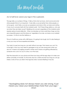The Mind switch

Act of self-love: Leave your ego in the cupboard.

The ego tells us a number of things: It tells us that what we have, what we do and what other people think of us is important. It also tells us we are better than other people, or not as good, and it tells us we are our posessions and status in life, our looks and clothes. It very much concerns itself with the material world. Yet if these things define us, who are we when they are taken away? Realising who we are is regardless of the material world, requires serious inward reflection. When we develop our inner world free of ego we truly are a beautiful person and this shines out regardless of our size, our looks or our material successes. It is this to me that defines us.

This act of self-love comes with a BIG lesson. It is going to be tough, but it is also freeing in a way you may not have experienced before.

Your task is to see how long you can exist without your ego. That means you can't try to be right, in fact you may need to apologise or say you are wrong even when you are not. It means not judging yourself or others and it means not getting offended by someone who cuts in on you in a line, or on the road.

Start the stopwatch on your phone and time how long until the ego steps in to take over either outwardly or inwardly. Try this every day for a week and see how long you can go. Make a note of how you feel in that ego-less state, however fleeting it may be.

"Apologising does not always mean you are wrong, it just means you value your relationships more than your ego." -Anon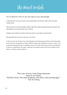The Mind switch

# Act of self-love: How to use your ego to your advantage

In this exercise I want you to go to the supermarket and fill your trolley with only super healthy food.

The look around at other peoples trolleys, filled with super processed foods and sugar and feel righteous and good about your choices.

Imagine what others must think when they look in your trolley and stand tall.

Be especially proud as you check out your items.

In this way we use the ego to our advantage by rewarding good choices with inner praise, even if only by comparison to others. Often the ego uses comparison to tear us down, so it is important going forward to understand how to turn this trait around and use comparison to drive us to greatness. The ego is, after all, just another human tool we can either use to help us, or let run wild to hinder us.

"The way of love I hold three treasures close to my heart. The first is love, the next simplicity, the third, overcoming ego." -Tao Te Ching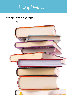The Mind switch

# Week seven exercises your story

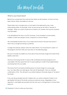The Mind switch

# What is your food story?

Behind how we perceive the world are the stories we tell ourselves, or those we have been told by others and believe to be true.

These stories may no longer serve us and need to be replaced by new, more empowering stories. For example, when we are young we are told to 'beware of strangers'. When our world is small and our family is our universe, this may be a positive and safe belief.

If we still believed this story in our 30's however, it may translate to social anxiety, inability to meet new people, travel, or expand our circle of friends.

We undoubtedly formed many of our stories around food in the past and some of them may no longer be serving us positively.

To begin this exercise, please watch the video What's Your Food Story? In week 7 of the program and then write your food story on the following page.

Be sure to include any beliefs you have about food and body image and where those beliefs came from.

We know that during the first 10 years of life we literally download programs and core beliefs. We then spend the next 10 years seeking to confirm those beliefs before anchoring them into our reality.

This means that if we heard something about our body image at a young age e.g. 'you take after your dads genes, they are all 'big people', then you will seek confirmation of this. This will result in your either taking on the body shape of 'his side of the family'.

If you are strong minded and don't believe this, you will do whatever it takes to not get big like that side of the family and prove everyone wrong. Regardless of your approach, core beliefs are powerful and the only way to change them is to face them head on!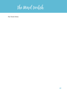The Mind switch

My food story: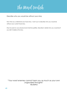The Mind switch

# Describe who you would be without your story

Now that you understand your food story, I want you to describe who you would be without your current food story.

Stay focused on your physical and mental qualities. Describe in detail who you would be if you did'nt believe this story.

"Your worst enemey cannot harm you as much as your own ungaurded thoughts" -Buddha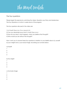The Mind switch

### The four questions

Please begin this exercise by watching the videos: Question your Story and Masterclass:: The Four Questions in Action in week seven of the program.

The four questions discused in the video are:

- 1) Is it true? (Yes or no. If no, move to 3.)
- 2) Can you absolutely know that it's true? (Yes or no.)
- 3) How do you react, what happens, when you believe that thought?
- 4) Who would you be without the thought?

Now I want you to answer these four questions in relation to your beliefs about a): yourself b) your weight and c) your body image, recording your anwers below:

- a) Myself 1 2 3 4 b) My weight 1 2 3 4 c) My body image
- 1
- $\mathfrak{D}$
- 3
- 4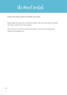The Mind switch

Invite your inner coach to rewrite your story

Please begin this exercise by watching the video: Invite Your Inner Coach to Rewrite Your Story in week seven of the program.

Then I want you to re-write your food story below, so that is one that empowers, supports and energises you.: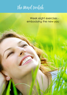# The Mind switch

Week eight exercises embodying the new you

**63**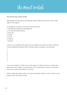The Mind switch

The seven key areas of life

Please begin this exercise by watching the video The Seven Key Areas of Life in week eight of the program..

As detailed in the video, the seven key areas of life are::

- 1. Mental/learning/personal development
- 2. Vocational/career/business
- 3. Financial
- 4. Family
- 5. Social
- 6. Physical
- 7. Spiritual

I want you to consider which areas in life you prioritise over others and which areas you may be neglecting. Please list them in priority order according to your life below:

- 1  $\mathfrak{D}$ 3 4 5 6
- 7

If you see yourself in a certain way, but the areas you need to work on to achieve this ideal vision are not high on your priority list, this is an opportunity to refocus, restructure the list and create more balance in your life.

Write an affirmation below about one of the 7 key areas of life you want to work on and repeat it each morning and night: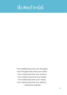# The Mind switch

"Your beliefs become your thoughts, Your thoughts become your words, Your words become your actions, Your actions become your habits, Your habits become your values, Your values become your destiny." - Mahatma Gandhi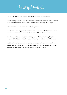The Mind switch

### Act of self-love: move your body to change your mindset.

Our psychology and physiology are closely entwined. By now you will know I live that beleif and it helped me developed this mind-before-body weight loss program!

But in this act of self-love we are actually going to prove it!

It begins with observing your mind and emotions, how are you feeling? If you feel sad, angry, frustrated or bored I want you to commit to 30mns of movement.

It could be walking, running, yoga, dancing, intense housework or anything in between. After 30mns, take notice of your mood again and note any differences.

Use this act of self-love every time you feel negative emotions, not to diminish those feelings, but to help manage the snowball effect they can have, leading to darker places and sabotage of your goals and your new direction in life.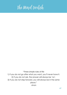# The Mind switch

"Three simple rules of life

1) If you do not go after what you want, you'll never have it.

2) If you do not ask, the answer will always be 'no'.

3) If you do not step forward, you will always be in the same

place."

-Anon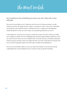The Mind switch

# Act of self-love: Do something you know you don't like with a new attitude!

This may not sound like an act of self-love, but trust me it is! There are times in our life where we have to do things we don't enjoy, it could be at work, in the home, attending your partners work Christmas party or visiting the in-laws. It might even be preparing meals! Whatever it is that you don't enjoy, your attitude guarantees you won't!

In this simple act, we show how we are in control of our lives. How the choices we make can change our reality. Pick an undesirable task and then begin telling yourself how much you want to do it! I know you won't believe that, not at first anyway, but keep reciting the mantra anyway and then when you begin the task, do it with a real sense of purpose and focus, look for enjoyable aspects and stay open minded to the experience.

Once you have finished, reflect on how you feel and whether or not the task was less undesirable than normal. Repeat this act numerous times to get the full effect.